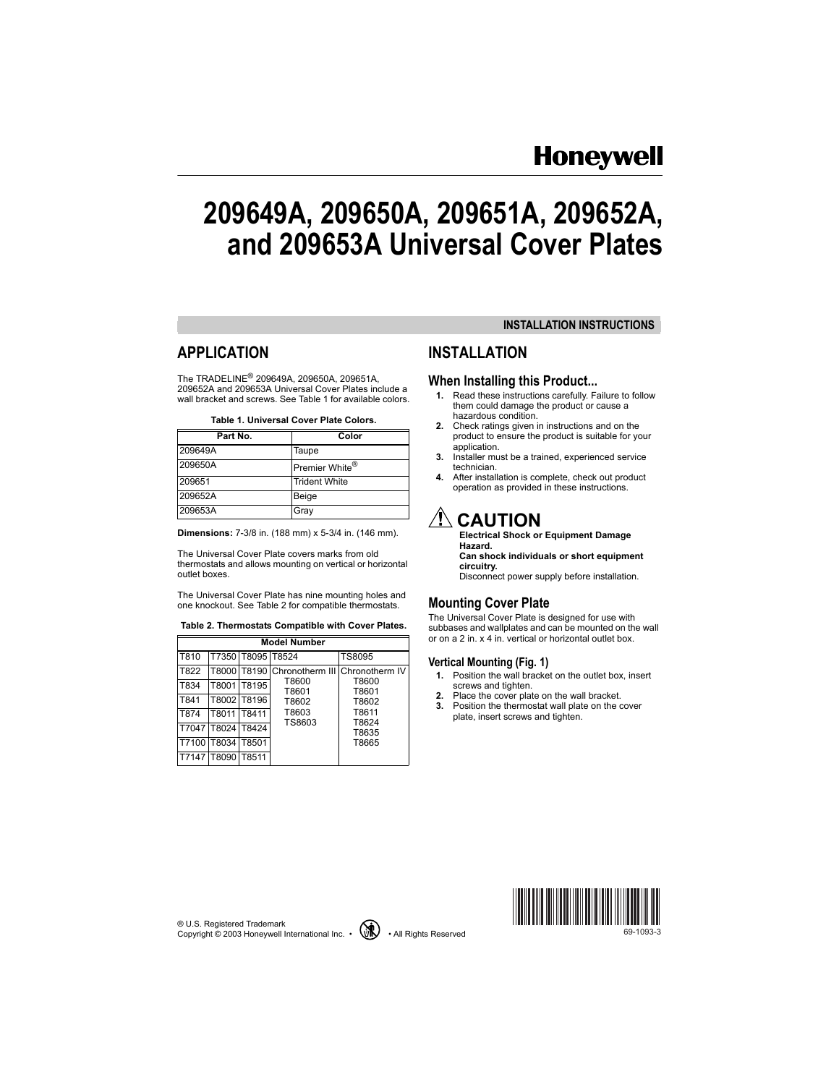# **Honeywell**

# **209649A, 209650A, 209651A, 209652A, and 209653A Universal Cover Plates**

# **APPLICATION**

The TRADELINE<sup>®</sup> 209649A, 209650A, 209651A, 209652A and 209653A Universal Cover Plates include a wall bracket and screws. See [Table 1](#page-0-1) for available colors.

|  | Table 1. Universal Cover Plate Colors. |  |  |
|--|----------------------------------------|--|--|
|  |                                        |  |  |

<span id="page-0-1"></span>

| Part No. | Color                      |
|----------|----------------------------|
| 209649A  | Taupe                      |
| 209650A  | Premier White <sup>®</sup> |
| 209651   | <b>Trident White</b>       |
| 209652A  | Beige                      |
| 209653A  | Gray                       |

**Dimensions:** 7-3/8 in. (188 mm) x 5-3/4 in. (146 mm).

The Universal Cover Plate covers marks from old thermostats and allows mounting on vertical or horizontal outlet boxes.

The Universal Cover Plate has nine mounting holes and one knockout. See [Table 2](#page-0-0) for compatible thermostats.

#### <span id="page-0-0"></span>**Table 2. Thermostats Compatible with Cover Plates.**

| <b>Model Number</b> |                   |                   |                                            |                |  |  |  |  |
|---------------------|-------------------|-------------------|--------------------------------------------|----------------|--|--|--|--|
| T810                |                   | T7350 T8095 T8524 |                                            | <b>TS8095</b>  |  |  |  |  |
| T822                |                   |                   | T8000 T8190 Chronotherm III Chronotherm IV |                |  |  |  |  |
| T834                |                   | T8001 T8195       | T8600<br>T8601                             | T8600<br>T8601 |  |  |  |  |
| T841                |                   | T8002 T8196       | T8602                                      | T8602          |  |  |  |  |
| T874                | T8011             | T8411             | T8603<br>TS8603                            | T8611          |  |  |  |  |
|                     | T7047 T8024 T8424 |                   |                                            | T8624<br>T8635 |  |  |  |  |
| T7100               | T8034 T8501       |                   |                                            | T8665          |  |  |  |  |
| T7147 T8090 T8511   |                   |                   |                                            |                |  |  |  |  |

### **INSTALLATION INSTRUCTIONS**

## **INSTALLATION**

#### **When Installing this Product...**

- **1.** Read these instructions carefully. Failure to follow them could damage the product or cause a hazardous condition.
- **2.** Check ratings given in instructions and on the product to ensure the product is suitable for your application.
- **3.** Installer must be a trained, experienced service technician.
- **4.** After installation is complete, check out product operation as provided in these instructions.

# $^\prime$ !\ CAUTION

**Electrical Shock or Equipment Damage Hazard. Can shock individuals or short equipment circuitry.** Disconnect power supply before installation.

#### **Mounting Cover Plate**

The Universal Cover Plate is designed for use with subbases and wallplates and can be mounted on the wall or on a 2 in. x 4 in. vertical or horizontal outlet box.

#### **Vertical Mounting ([Fig. 1](#page-1-0))**

- **1.** Position the wall bracket on the outlet box, insert screws and tighten.
- **2.** Place the cover plate on the wall bracket.
- **3.** Position the thermostat wall plate on the cover plate, insert screws and tighten.